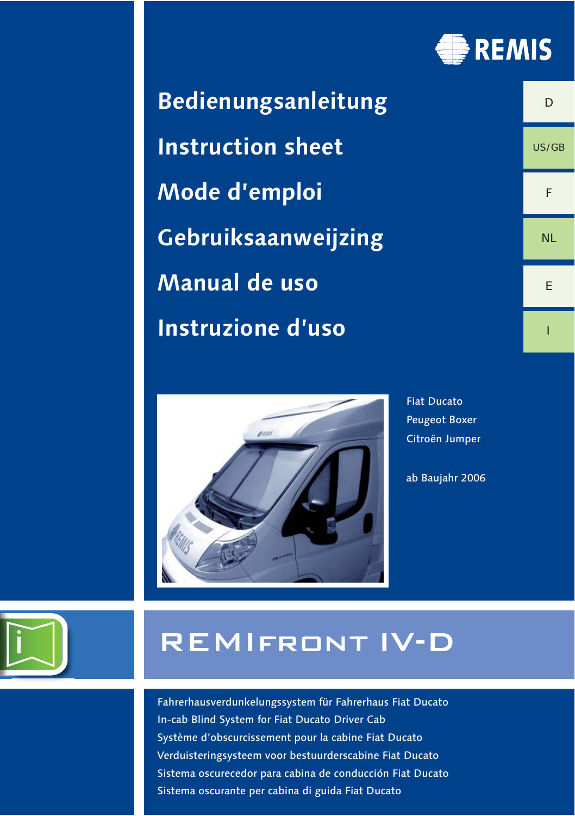

 $\Gamma$ 

US/GB

F

NL

E

I

**Bedienungsanleitung Instruction sheet Mode d'emploi Gebruiksaanweijzing Manual de uso Instruzione d'uso**



Fiat Ducato Peugeot Boxer Citroën Jumper

ab Baujahr 2006

# REMIfront IV-D

Fahrerhausverdunkelungssystem für Fahrerhaus Fiat Ducato In-cab Blind System for Fiat Ducato Driver Cab Système d'obscurcissement pour la cabine Fiat Ducato Verduisteringsysteem voor bestuurderscabine Fiat Ducato Sistema oscurecedor para cabina de conducción Fiat Ducato Sistema oscurante per cabina di guida Fiat Ducato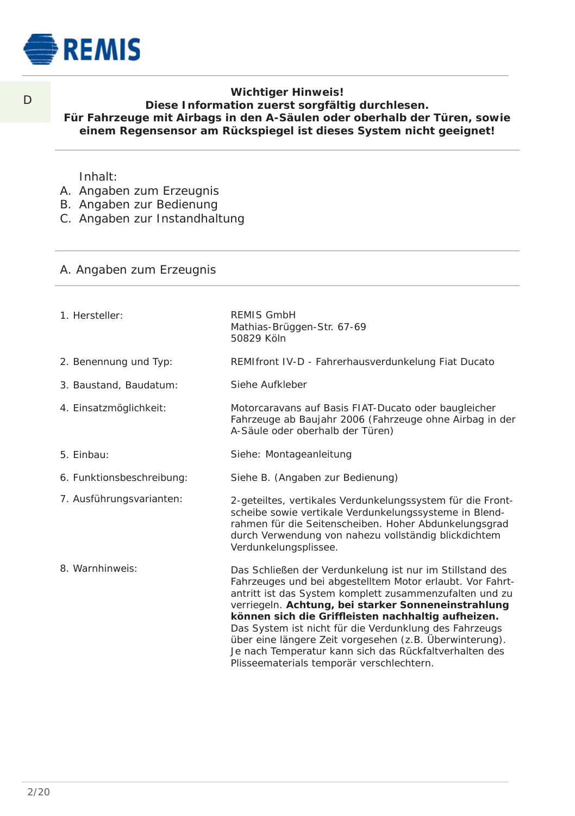

 $\Box$ 

# **Wichtiger Hinweis!**

# **Diese Information zuerst sorgfältig durchlesen. Für Fahrzeuge mit Airbags in den A-Säulen oder oberhalb der Türen, sowie einem Regensensor am Rückspiegel ist dieses System nicht geeignet!**

#### Inhalt:

- A. Angaben zum Erzeugnis
- B. Angaben zur Bedienung
- C. Angaben zur Instandhaltung

## A. Angaben zum Erzeugnis

1. Hersteller: 2. Benennung und Typ: 3. Baustand, Baudatum: 4. Einsatzmöglichkeit: 5. Einbau: 6. Funktionsbeschreibung: 7. Ausführungsvarianten: 8. Warnhinweis: REMIS GmbH Mathias-Brüggen-Str. 67-69 50829 Köln REMIfront IV-D - Fahrerhausverdunkelung Fiat Ducato Siehe Aufkleber Motorcaravans auf Basis FIAT-Ducato oder baugleicher Fahrzeuge ab Baujahr 2006 (Fahrzeuge ohne Airbag in der A-Säule oder oberhalb der Türen) Siehe: Montageanleitung Siehe B. (Angaben zur Bedienung) 2-geteiltes, vertikales Verdunkelungssystem für die Frontscheibe sowie vertikale Verdunkelungssysteme in Blendrahmen für die Seitenscheiben. Hoher Abdunkelungsgrad durch Verwendung von nahezu vollständig blickdichtem Verdunkelungsplissee. Das Schließen der Verdunkelung ist nur im Stillstand des Fahrzeuges und bei abgestelltem Motor erlaubt. Vor Fahrtantritt ist das System komplett zusammenzufalten und zu verriegeln. Achtung, bei starker Sonneneinstrahlung können sich die Griffleisten nachhaltig aufheizen. Das System ist nicht für die Verdunklung des Fahrzeugs über eine längere Zeit vorgesehen (z.B. Überwinterung). Je nach Temperatur kann sich das Rückfaltverhalten des Plisseematerials temporär verschlechtern.

2/20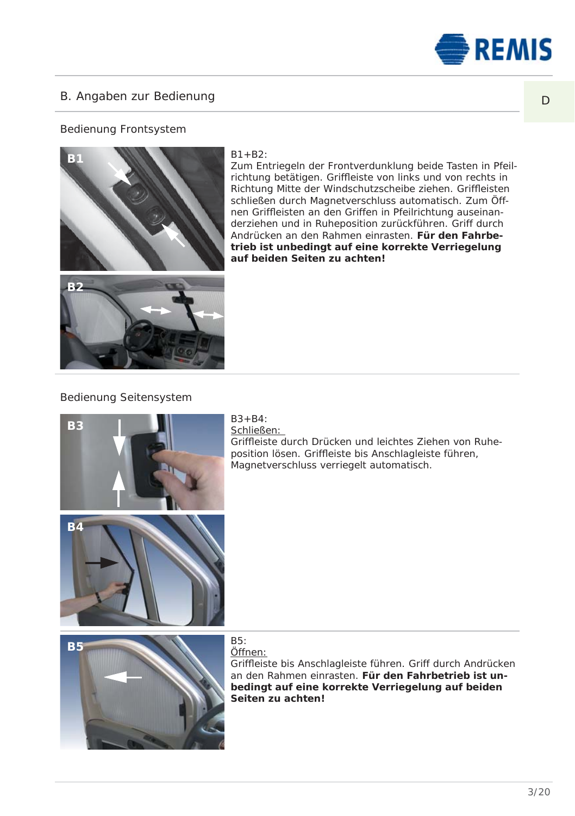

# B. Angaben zur Bedienung

# Bedienung Frontsystem



#### $B1 + B2$ :

Zum Entriegeln der Frontverdunklung beide Tasten in Pfeilrichtung betätigen. Griffleiste von links und von rechts in Richtung Mitte der Windschutzscheibe ziehen. Griffleisten schließen durch Magnet verschluss automatisch. Zum Öffnen Griffleisten an den Griffen in Pfeilrichtung auseinanderziehen und in Ruheposition zurückführen. Griff durch Andrücken an den Rahmen einrasten. Für den Fahrbetrieb ist unbedingt auf eine korrekte Verriegelung **auf beiden Seiten zu achten!**



**B2**



 $B3 + B4$ : Schließen:

Griffl eiste durch Drücken und leichtes Ziehen von Ruheposition lösen. Griffleiste bis Anschlagleiste führen, .<br>Magnet ver schluss verriegelt automatisch.

Öffnen:

Griffleiste bis Anschlagleiste führen. Griff durch Andrücken an den Rahmen einrasten. **Für den Fahrbetrieb ist unbedingt auf eine korrekte Ver riege lung auf beiden Seiten zu achten!**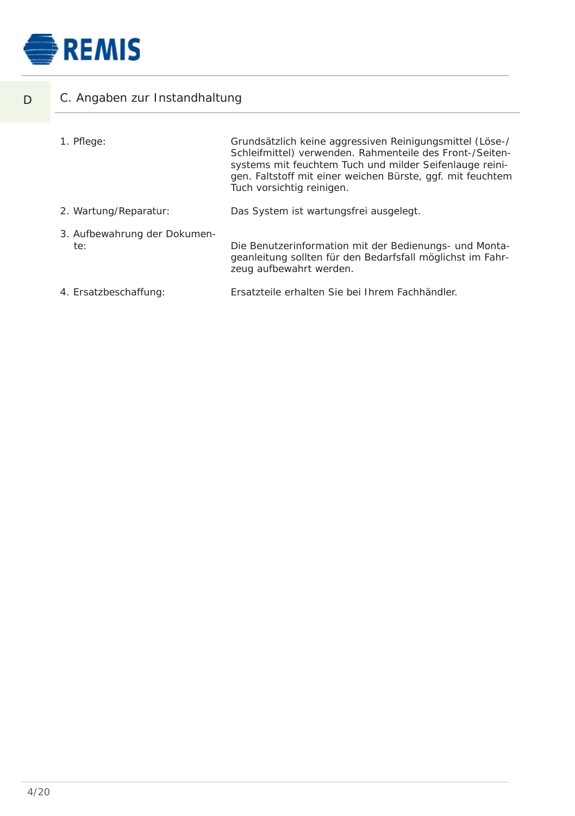

D

| C. Angaben zur Instandhaltung       |                                                                                                                                                                                                                                                                            |  |  |
|-------------------------------------|----------------------------------------------------------------------------------------------------------------------------------------------------------------------------------------------------------------------------------------------------------------------------|--|--|
| 1. Pflege:                          | Grundsätzlich keine aggressiven Reinigungsmittel (Löse-/<br>Schleifmittel) verwenden. Rahmenteile des Front-/Seiten-<br>systems mit feuchtem Tuch und milder Seifenlauge reini-<br>gen. Faltstoff mit einer weichen Bürste, ggf. mit feuchtem<br>Tuch vorsichtig reinigen. |  |  |
| 2. Wartung/Reparatur:               | Das System ist wartungsfrei ausgelegt.                                                                                                                                                                                                                                     |  |  |
| 3. Aufbewahrung der Dokumen-<br>te: | Die Benutzerinformation mit der Bedienungs- und Monta-<br>geanleitung sollten für den Bedarfsfall möglichst im Fahr-<br>zeug aufbewahrt werden.                                                                                                                            |  |  |
| 4. Ersatzbeschaffung:               | Ersatzteile erhalten Sie bei Ihrem Fachhändler.                                                                                                                                                                                                                            |  |  |
|                                     |                                                                                                                                                                                                                                                                            |  |  |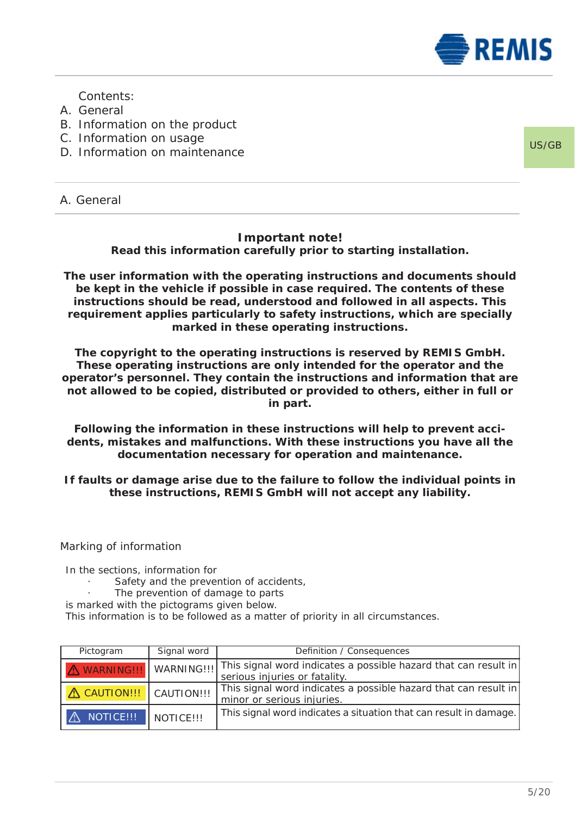

Contents:

- A. General
- B. Information on the product
- C. Information on usage
- D. Information on maintenance

US/GB

A. General

# **Important note!**

**Read this information carefully prior to starting installation.**

**The user information with the operating instructions and documents should be kept in the vehicle if possible in case required. The contents of these instructions should be read, understood and followed in all aspects. This requirement applies particularly to safety instructions, which are specially marked in these operating instructions.**

**The copyright to the operating instructions is reserved by REMIS GmbH. These operating instructions are only intended for the operator and the operator's personnel. They contain the instructions and information that are not allowed to be copied, distributed or provided to others, either in full or in part.**

**Following the information in these instructions will help to prevent accidents, mistakes and malfunctions. With these instructions you have all the documentation necessary for operation and maintenance.**

**If faults or damage arise due to the failure to follow the individual points in these instructions, REMIS GmbH will not accept any liability.**

Marking of information

In the sections, information for

- Safety and the prevention of accidents,
- The prevention of damage to parts
- is marked with the pictograms given below.

This information is to be followed as a matter of priority in all circumstances.

| Pictogram                 | Signal word      | Definition / Consequences                                                                                                |
|---------------------------|------------------|--------------------------------------------------------------------------------------------------------------------------|
|                           |                  | WARNING !!! WARNING !!! This signal word indicates a possible hazard that can result in<br>serious injuries or fatality. |
| A CAUTION !!! CAUTION !!! |                  | This signal word indicates a possible hazard that can result in<br>minor or serious injuries.                            |
| NOTICE!!!                 | <b>NOTICE!!!</b> | This signal word indicates a situation that can result in damage.                                                        |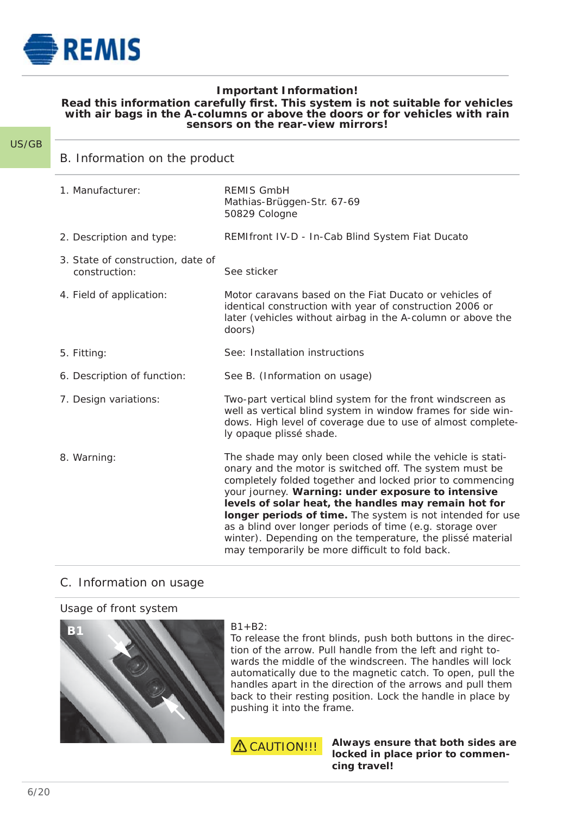

# **Important Information!**

# Read this information carefully first. This system is not suitable for vehicles with rain<br>with air bags in the A-columns or above the doors or for vehicles with rain **sensors on the rear-view mirrors!**

#### US/GB

B. Information on the product

| 1. Manufacturer:                                   | <b>REMIS GmbH</b><br>Mathias-Brüggen-Str. 67-69<br>50829 Cologne                                                                                                                                                                                                                                                                                                                                                                                                                                                                             |
|----------------------------------------------------|----------------------------------------------------------------------------------------------------------------------------------------------------------------------------------------------------------------------------------------------------------------------------------------------------------------------------------------------------------------------------------------------------------------------------------------------------------------------------------------------------------------------------------------------|
| 2. Description and type:                           | REMIfront IV-D - In-Cab Blind System Fiat Ducato                                                                                                                                                                                                                                                                                                                                                                                                                                                                                             |
| 3. State of construction, date of<br>construction: | See sticker                                                                                                                                                                                                                                                                                                                                                                                                                                                                                                                                  |
| 4. Field of application:                           | Motor caravans based on the Fiat Ducato or vehicles of<br>identical construction with year of construction 2006 or<br>later (vehicles without airbag in the A-column or above the<br>doors)                                                                                                                                                                                                                                                                                                                                                  |
| 5. Fitting:                                        | See: Installation instructions                                                                                                                                                                                                                                                                                                                                                                                                                                                                                                               |
| 6. Description of function:                        | See B. (Information on usage)                                                                                                                                                                                                                                                                                                                                                                                                                                                                                                                |
| 7. Design variations:                              | Two-part vertical blind system for the front windscreen as<br>well as vertical blind system in window frames for side win-<br>dows. High level of coverage due to use of almost complete-<br>ly opaque plissé shade.                                                                                                                                                                                                                                                                                                                         |
| 8. Warning:                                        | The shade may only been closed while the vehicle is stati-<br>onary and the motor is switched off. The system must be<br>completely folded together and locked prior to commencing<br>your journey. Warning: under exposure to intensive<br>levels of solar heat, the handles may remain hot for<br>longer periods of time. The system is not intended for use<br>as a blind over longer periods of time (e.g. storage over<br>winter). Depending on the temperature, the plissé material<br>may temporarily be more difficult to fold back. |

# C. Information on usage

# Usage of front system



 $B1 + B2$ 

To release the front blinds, push both buttons in the direction of the arrow. Pull handle from the left and right towards the middle of the windscreen. The handles will lock automatically due to the magnetic catch. To open, pull the handles apart in the direction of the arrows and pull them back to their resting position. Lock the handle in place by pushing it into the frame.



 **Always ensure that both sides are locked in place prior to commen cing travel!**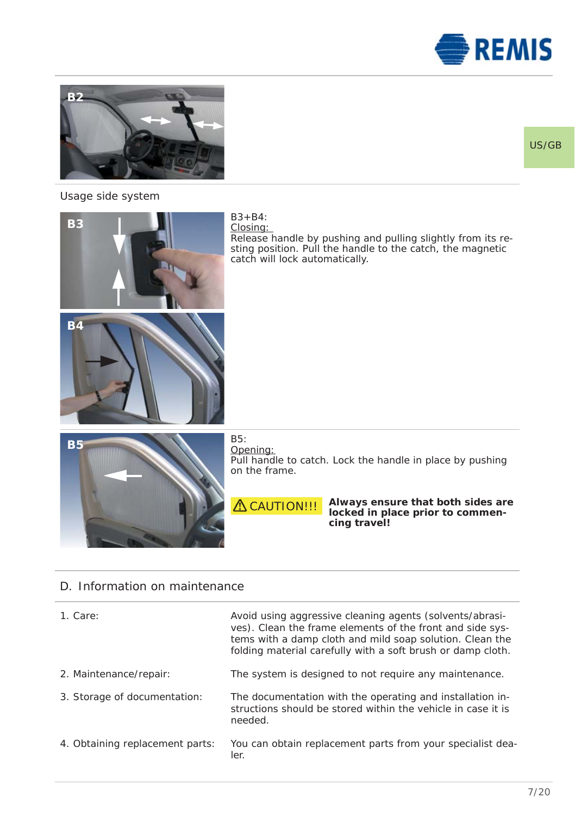



# Usage side system



# D. Information on maintenance

| 1. Care:                        | Avoid using aggressive cleaning agents (solvents/abrasi-<br>ves). Clean the frame elements of the front and side sys-<br>tems with a damp cloth and mild soap solution. Clean the<br>folding material carefully with a soft brush or damp cloth. |
|---------------------------------|--------------------------------------------------------------------------------------------------------------------------------------------------------------------------------------------------------------------------------------------------|
| 2. Maintenance/repair:          | The system is designed to not require any maintenance.                                                                                                                                                                                           |
| 3. Storage of documentation:    | The documentation with the operating and installation in-<br>structions should be stored within the vehicle in case it is<br>needed.                                                                                                             |
| 4. Obtaining replacement parts: | You can obtain replacement parts from your specialist dea-<br>ler.                                                                                                                                                                               |

# US/GB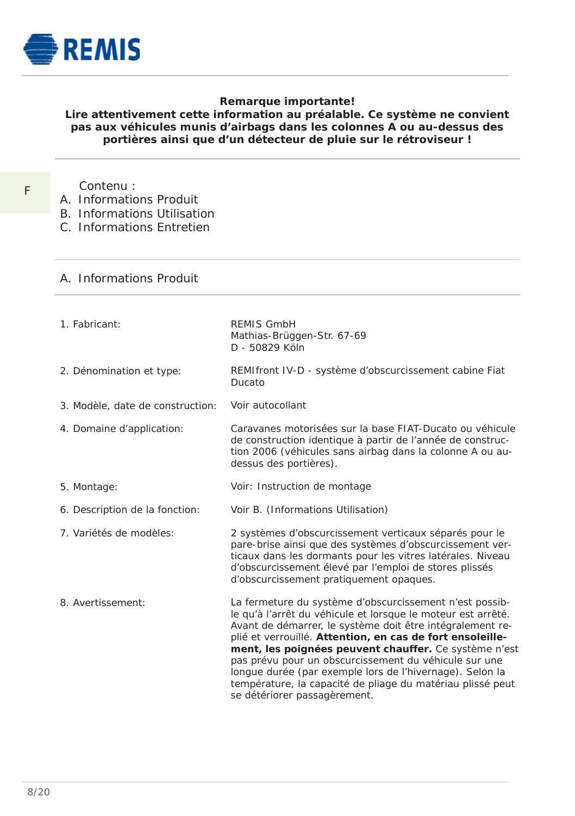

# **Remarque importante!**

# **Lire attentivement cette information au préalable. Ce système ne convient pas aux véhicules munis d'airbags dans les colonnes A ou au-dessus des portières ainsi que d'un détecteur de pluie sur le rétroviseur !**

- F
- Contenu : A. Informations Produit
- B. Informations Utilisation
- C. Informations Entretien
- 

# A. Informations Produit

1. Fabricant: 2. Dénomination et type: 3. Modèle, date de construction: 4. Domaine d'application: 5. Montage: 6. Description de la fonction: 7. Variétés de modèles: 8. Avertissement: REMIS GmbH Mathias-Brüggen-Str. 67-69 D - 50829 Köln REMIfront IV-D - système d'obscurcissement cabine Fiat Ducato Voir autocollant Caravanes motorisées sur la base FIAT-Ducato ou véhicule de construction identique à partir de l'année de construction 2006 (véhicules sans airbag dans la colonne A ou audessus des portières). Voir: Instruction de montage Voir B. (Informations Utilisation) 2 systèmes d'obscurcissement verticaux séparés pour le pare-brise ainsi que des systèmes d'obscurcissement verticaux dans les dormants pour les vitres latérales. Niveau d'obscurcissement élevé par l'emploi de stores plissés d'obscurcissement pratiquement opaques. La fermeture du système d'obscurcissement n'est possible qu'à l'arrêt du véhicule et lorsque le moteur est arrêté. Avant de démarrer, le système doit être intégralement replié et verrouillé. **Attention, en cas de fort ensoleillement, les poignées peuvent chauffer.** Ce système n'est pas prévu pour un obscurcissement du véhicule sur une longue durée (par exemple lors de l'hivernage). Selon la température, la capacité de pliage du matériau plissé peut se détériorer passagèrement.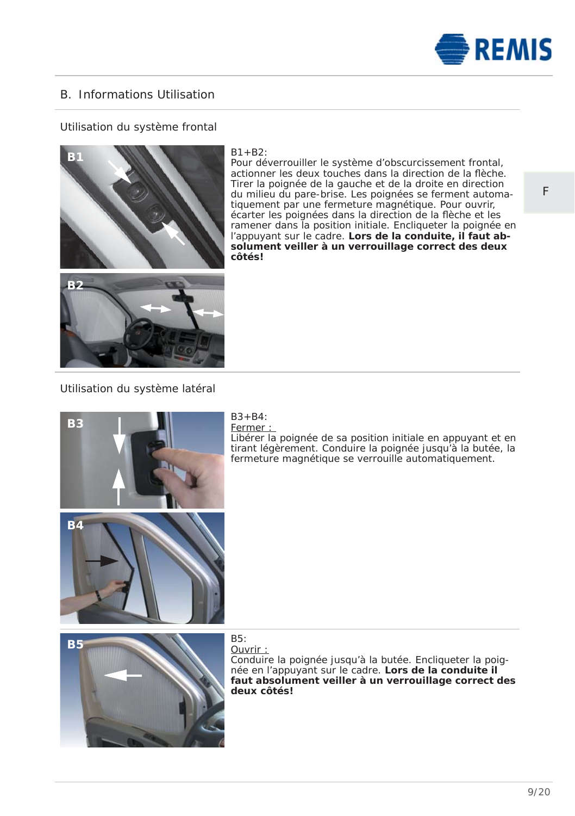

# B. Informations Utilisation

# Utilisation du système frontal



#### $B1 + B2$ :

Pour déverrouiller le système d'obscurcissement frontal, actionner les deux touches dans la direction de la flèche. Tirer la poignée de la gauche et de la droite en direction du milieu du pare-brise. Les poignées se ferment automatiquement par une fermeture magnétique. Pour ouvrir, écarter les poignées dans la direction de la flèche et les ramener dans la position initiale. Encliqueter la poignée en l'appuyant sur le cadre. **Lors de la conduite, il faut absolument veiller à un verrouillage correct des deux côtés!** 

# Utilisation du système latéral



#### $B3 + B4$ Fermer :

Libérer la poignée de sa position initiale en appuyant et en tirant légèrement. Conduire la poignée jusqu'à la butée, la fermeture magnétique se verrouille automatiquement.



# Ouvrir :

Conduire la poignée jusqu'à la butée. Encliqueter la poignée en l'appuyant sur le cadre. **Lors de la conduite il faut absolument veiller à un verrouillage correct des deux côtés!** 

F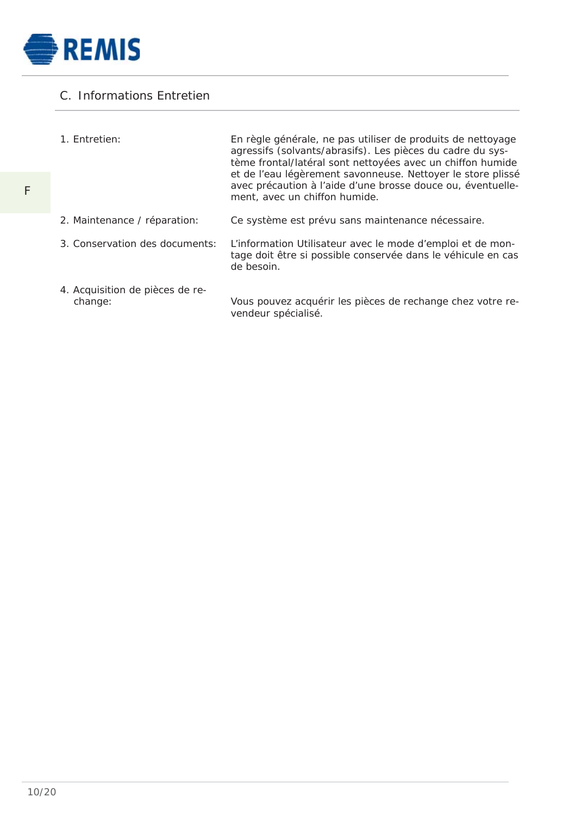

# C. Informations Entretien

| 1. Entretien:                              | En règle générale, ne pas utiliser de produits de nettoyage<br>agressifs (solvants/abrasifs). Les pièces du cadre du sys-<br>tème frontal/latéral sont nettoyées avec un chiffon humide<br>et de l'eau légèrement savonneuse. Nettoyer le store plissé<br>avec précaution à l'aide d'une brosse douce ou, éventuelle-<br>ment, avec un chiffon humide. |
|--------------------------------------------|--------------------------------------------------------------------------------------------------------------------------------------------------------------------------------------------------------------------------------------------------------------------------------------------------------------------------------------------------------|
| 2. Maintenance / réparation:               | Ce système est prévu sans maintenance nécessaire.                                                                                                                                                                                                                                                                                                      |
| 3. Conservation des documents:             | L'information Utilisateur avec le mode d'emploi et de mon-<br>tage doit être si possible conservée dans le véhicule en cas<br>de besoin.                                                                                                                                                                                                               |
| 4. Acquisition de pièces de re-<br>change: | Vous pouvez acquérir les pièces de rechange chez votre re-<br>vendeur spécialisé.                                                                                                                                                                                                                                                                      |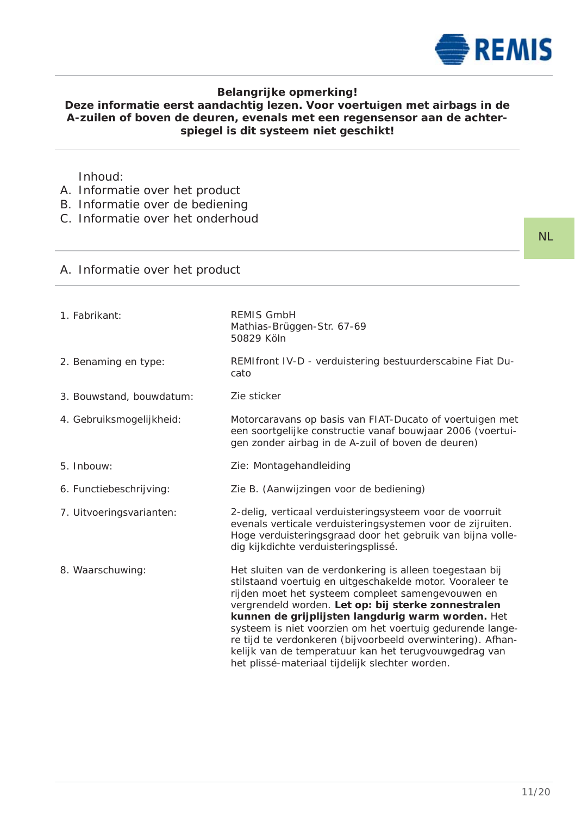

# **Belangrijke opmerking!**

# **Deze informatie eerst aandachtig lezen. Voor voertuigen met airbags in de A-zuilen of boven de deuren, evenals met een regensensor aan de achterspiegel is dit systeem niet geschikt!**

Inhoud:

- A. Informatie over het product
- B. Informatie over de bediening
- C. Informatie over het onderhoud

# A. Informatie over het product

| 1. Fabrikant:            | <b>REMIS GmbH</b><br>Mathias-Brüggen-Str. 67-69<br>50829 Köln                                                                                                                                                                                                                                                                                                                                                                                                                                                                  |
|--------------------------|--------------------------------------------------------------------------------------------------------------------------------------------------------------------------------------------------------------------------------------------------------------------------------------------------------------------------------------------------------------------------------------------------------------------------------------------------------------------------------------------------------------------------------|
| 2. Benaming en type:     | REMIfront IV-D - verduistering bestuurderscabine Fiat Du-<br>cato                                                                                                                                                                                                                                                                                                                                                                                                                                                              |
| 3. Bouwstand, bouwdatum: | Zie sticker                                                                                                                                                                                                                                                                                                                                                                                                                                                                                                                    |
| 4. Gebruiksmogelijkheid: | Motorcaravans op basis van FIAT-Ducato of voertuigen met<br>een soortgelijke constructie vanaf bouwjaar 2006 (voertui-<br>gen zonder airbag in de A-zuil of boven de deuren)                                                                                                                                                                                                                                                                                                                                                   |
| 5. Inbouw:               | Zie: Montagehandleiding                                                                                                                                                                                                                                                                                                                                                                                                                                                                                                        |
| 6. Functiebeschrijving:  | Zie B. (Aanwijzingen voor de bediening)                                                                                                                                                                                                                                                                                                                                                                                                                                                                                        |
| 7. Uitvoeringsvarianten: | 2-delig, verticaal verduisteringsysteem voor de voorruit<br>evenals verticale verduisteringsystemen voor de zijruiten.<br>Hoge verduisteringsgraad door het gebruik van bijna volle-<br>dig kijkdichte verduisteringsplissé.                                                                                                                                                                                                                                                                                                   |
| 8. Waarschuwing:         | Het sluiten van de verdonkering is alleen toegestaan bij<br>stilstaand voertuig en uitgeschakelde motor. Vooraleer te<br>rijden moet het systeem compleet samengevouwen en<br>vergrendeld worden. Let op: bij sterke zonnestralen<br>kunnen de grijplijsten langdurig warm worden. Het<br>systeem is niet voorzien om het voertuig gedurende lange-<br>re tijd te verdonkeren (bijvoorbeeld overwintering). Afhan-<br>kelijk van de temperatuur kan het terugvouwgedrag van<br>het plissé-materiaal tijdelijk slechter worden. |

NL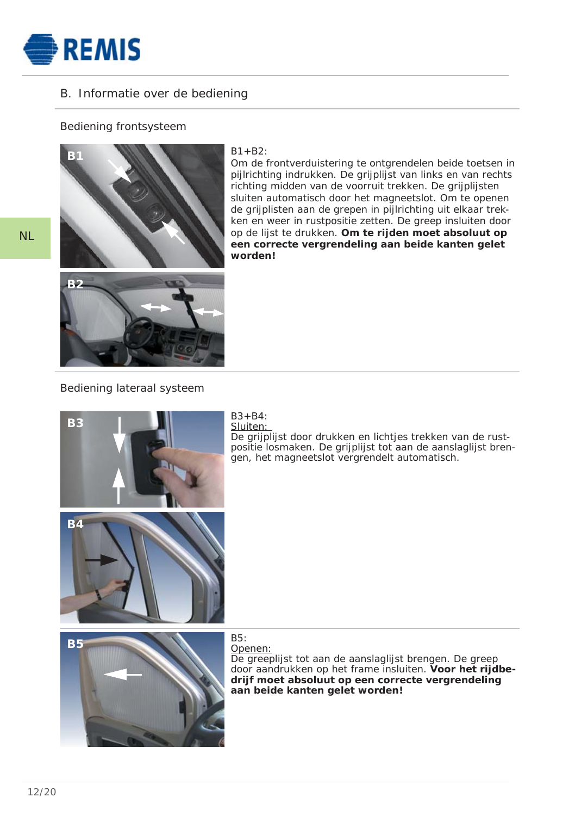

# B. Informatie over de bediening

# Bediening frontsysteem



## $B1 + B2$ :

Om de frontverduistering te ontgrendelen beide toetsen in pijlrichting indrukken. De grijplijst van links en van rechts richting midden van de voorruit trekken. De grijplijsten sluiten automatisch door het magneetslot. Om te openen de grijplisten aan de grepen in pijlrichting uit elkaar trekken en weer in rustpositie zetten. De greep insluiten door op de lijst te drukken. **Om te rijden moet absoluut op een correcte vergrendeling aan beide kanten gelet worden!**



## Bediening lateraal systeem



#### $B3 + B4$ : Sluiten:

positie iositiaken. De grijplijst tot aan de aansk<br>gen, het magneetslot vergrendelt automatisch. De grijplijst door drukken en lichtjes trekken van de rustpositie losmaken. De grijplijst tot aan de aanslaglijst bren-



Openen: De greeplijst tot aan de aanslaglijst brengen. De greep door aandrukken op het frame insluiten. **Voor het rijdbedrijf moet absoluut op een correcte vergrendeling aan beide kanten gelet worden!**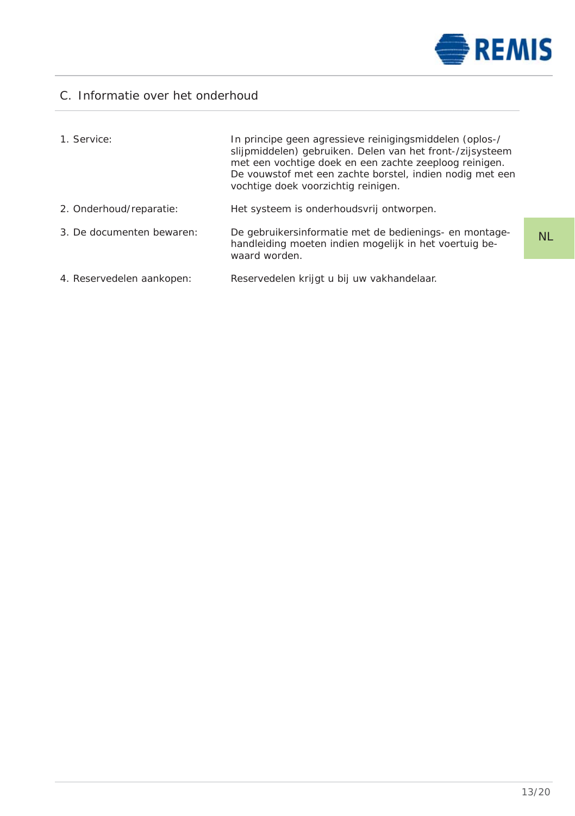

NL

# C. Informatie over het onderhoud

| 1. Service:               | In principe geen agressieve reinigingsmiddelen (oplos-/<br>slijpmiddelen) gebruiken. Delen van het front-/zijsysteem<br>met een vochtige doek en een zachte zeeploog reinigen.<br>De vouwstof met een zachte borstel, indien nodig met een<br>vochtige doek voorzichtig reinigen. |
|---------------------------|-----------------------------------------------------------------------------------------------------------------------------------------------------------------------------------------------------------------------------------------------------------------------------------|
| 2. Onderhoud/reparatie:   | Het systeem is onderhoudsvrij ontworpen.                                                                                                                                                                                                                                          |
| 3. De documenten bewaren: | De gebruikersinformatie met de bedienings- en montage-<br>handleiding moeten indien mogelijk in het voertuig be-<br>waard worden.                                                                                                                                                 |
| 4. Reservedelen aankopen: | Reservedelen krijgt u bij uw vakhandelaar.                                                                                                                                                                                                                                        |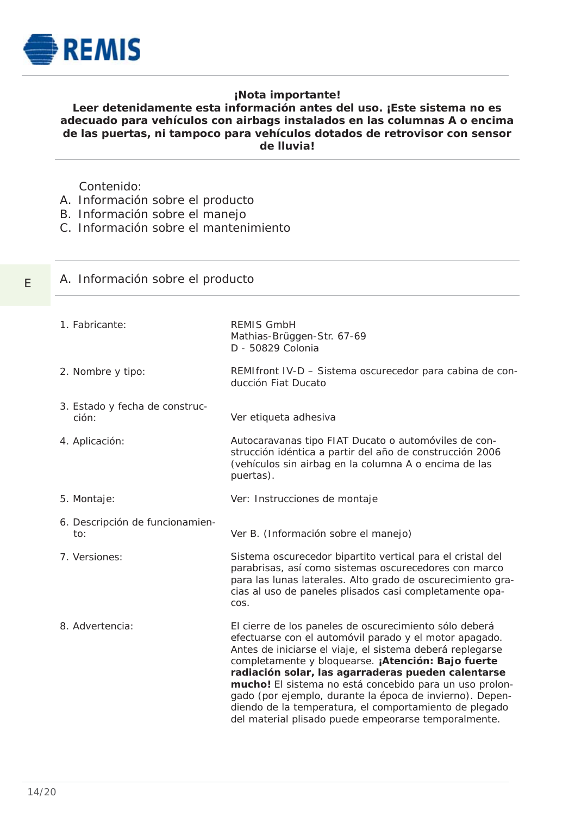

E

# **¡Nota importante!**

# **Leer detenidamente esta información antes del uso. ¡Este sistema no es adecuado para vehículos con airbags instalados en las columnas A o encima de las puertas, ni tampoco para vehículos dotados de retrovisor con sensor de lluvia!**

Contenido:

- A. Información sobre el producto
- B. Información sobre el manejo
- C. Información sobre el mantenimiento

|  |  | A. Información sobre el producto |  |  |  |  |
|--|--|----------------------------------|--|--|--|--|
|--|--|----------------------------------|--|--|--|--|

1. Fabricante: 2. Nombre y tipo: 3. Estado y fecha de construc ción: 4. Aplicación: 5. Montaje: 6. Descripción de funcionamien to: 7. Versiones: 8. Advertencia: REMIS GmbH Mathias-Brüggen-Str. 67-69 D - 50829 Colonia REMIfront IV-D – Sistema oscurecedor para cabina de conducción Fiat Ducato Ver etiqueta adhesiva Autocaravanas tipo FIAT Ducato o automóviles de construcción idéntica a partir del año de construcción 2006 (vehículos sin airbag en la columna A o encima de las puertas). Ver: Instrucciones de montaje Ver B. (Información sobre el manejo) Sistema oscurecedor bipartito vertical para el cristal del parabrisas, así como sistemas oscurecedores con marco para las lunas laterales. Alto grado de oscurecimiento gracias al uso de paneles plisados casi completamente opacos. El cierre de los paneles de oscurecimiento sólo deberá efectuarse con el automóvil parado y el motor apagado. Antes de iniciarse el viaje, el sistema deberá replegarse completamente y bloquearse. **¡Atención: Bajo fuerte ra diación solar, las agarraderas pueden calentarse mucho!** El sistema no está concebido para un uso prolongado (por ejemplo, durante la época de invierno). Dependiendo de la temperatura, el comportamiento de plegado del material plisado puede empeorarse temporalmente.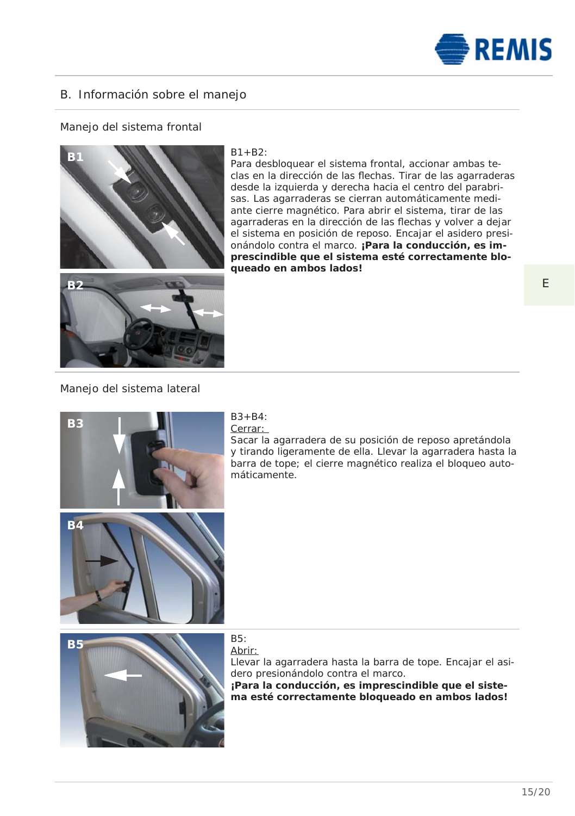

# B. Información sobre el manejo

# Manejo del sistema frontal



#### $B1 + B2$ :

Para desbloquear el sistema frontal, accionar ambas teclas en la dirección de las flechas. Tirar de las agarraderas desde la izquierda y derecha hacia el centro del parabrisas. Las agarraderas se cierran automáticamente mediante cierre magnético. Para abrir el sistema, tirar de las agarraderas en la dirección de las flechas y volver a dejar el sistema en posición de reposo. Encajar el asidero presionándolo contra el marco. **¡Para la conducción, es imprescindible que el sistema esté correctamente bloqueado en ambos lados!**

# Manejo del sistema lateral



#### $B3 + B4$ Cerrar:

Sacar la agarradera de su posición de reposo apretándola y tirando ligeramente de ella. Llevar la agarradera hasta la barra de tope; el cierre magnético realiza el bloqueo automá ticamente.



# Abrir:

Llevar la agarradera hasta la barra de tope. Encajar el asidero presionándolo contra el marco. **¡Para la conducción, es imprescindible que el sistema esté correctamente bloqueado en ambos lados!**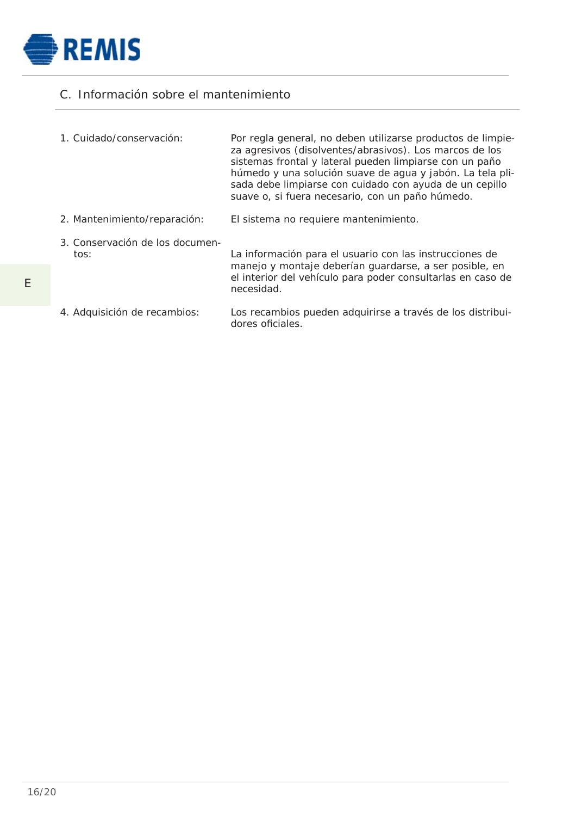

# C. Información sobre el mantenimiento

| 1. Cuidado/conservación:                | Por regla general, no deben utilizarse productos de limpie-<br>za agresivos (disolventes/abrasivos). Los marcos de los<br>sistemas frontal y lateral pueden limpiarse con un paño<br>húmedo y una solución suave de agua y jabón. La tela pli-<br>sada debe limpiarse con cuidado con ayuda de un cepillo<br>suave o, si fuera necesario, con un paño húmedo. |
|-----------------------------------------|---------------------------------------------------------------------------------------------------------------------------------------------------------------------------------------------------------------------------------------------------------------------------------------------------------------------------------------------------------------|
| 2. Mantenimiento/reparación:            | El sistema no requiere mantenimiento.                                                                                                                                                                                                                                                                                                                         |
| 3. Conservación de los documen-<br>tos: | La información para el usuario con las instrucciones de<br>manejo y montaje deberían quardarse, a ser posible, en<br>el interior del vehículo para poder consultarlas en caso de<br>necesidad.                                                                                                                                                                |
| 4. Adquisición de recambios:            | Los recambios pueden adquirirse a través de los distribui-                                                                                                                                                                                                                                                                                                    |

dores oficiales.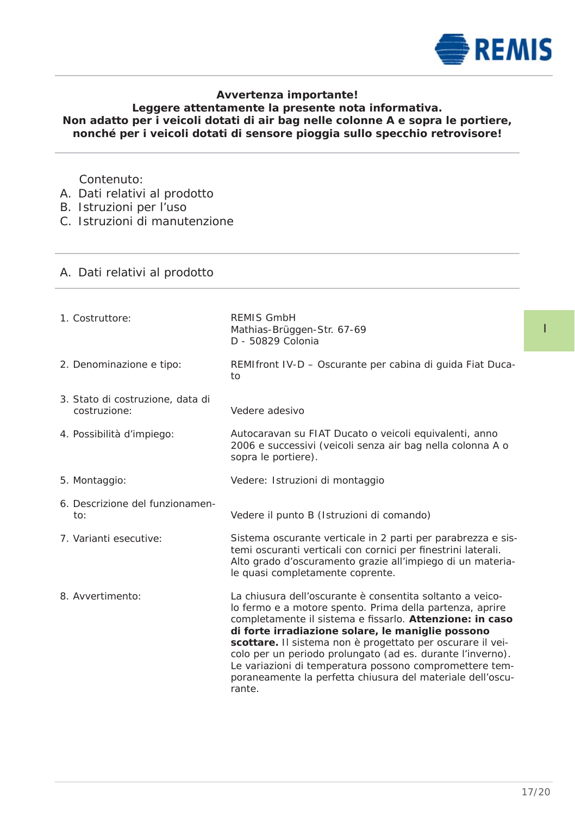

# **Avvertenza importante!**

# **Leggere attentamente la presente nota informativa. Non adatto per i veicoli dotati di air bag nelle colonne A e sopra le portiere, nonché per i veicoli dotati di sensore pioggia sullo specchio retrovisore!**

# Contenuto:

- A. Dati relativi al prodotto
- B. Istruzioni per l'uso
- C. Istruzioni di manutenzione

# A. Dati relativi al prodotto

| 1. Costruttore:                                  | <b>REMIS GmbH</b><br>Mathias-Brüggen-Str. 67-69<br>D - 50829 Colonia                                                                                                                                                                                                                                                                                                                                                                                                                                  |
|--------------------------------------------------|-------------------------------------------------------------------------------------------------------------------------------------------------------------------------------------------------------------------------------------------------------------------------------------------------------------------------------------------------------------------------------------------------------------------------------------------------------------------------------------------------------|
| 2. Denominazione e tipo:                         | REMIfront IV-D - Oscurante per cabina di guida Fiat Duca-<br>to                                                                                                                                                                                                                                                                                                                                                                                                                                       |
| 3. Stato di costruzione, data di<br>costruzione: | Vedere adesivo                                                                                                                                                                                                                                                                                                                                                                                                                                                                                        |
| 4. Possibilità d'impiego:                        | Autocaravan su FIAT Ducato o veicoli equivalenti, anno<br>2006 e successivi (veicoli senza air bag nella colonna A o<br>sopra le portiere).                                                                                                                                                                                                                                                                                                                                                           |
| 5. Montaggio:                                    | Vedere: Istruzioni di montaggio                                                                                                                                                                                                                                                                                                                                                                                                                                                                       |
| 6. Descrizione del funzionamen-<br>to:           | Vedere il punto B (Istruzioni di comando)                                                                                                                                                                                                                                                                                                                                                                                                                                                             |
| 7. Varianti esecutive:                           | Sistema oscurante verticale in 2 parti per parabrezza e sis-<br>temi oscuranti verticali con cornici per finestrini laterali.<br>Alto grado d'oscuramento grazie all'impiego di un materia-<br>le quasi completamente coprente.                                                                                                                                                                                                                                                                       |
| 8. Avvertimento:                                 | La chiusura dell'oscurante è consentita soltanto a veico-<br>lo fermo e a motore spento. Prima della partenza, aprire<br>completamente il sistema e fissarlo. Attenzione: in caso<br>di forte irradiazione solare, le maniglie possono<br>scottare. Il sistema non è progettato per oscurare il vei-<br>colo per un periodo prolungato (ad es. durante l'inverno).<br>Le variazioni di temperatura possono compromettere tem-<br>poraneamente la perfetta chiusura del materiale dell'oscu-<br>rante. |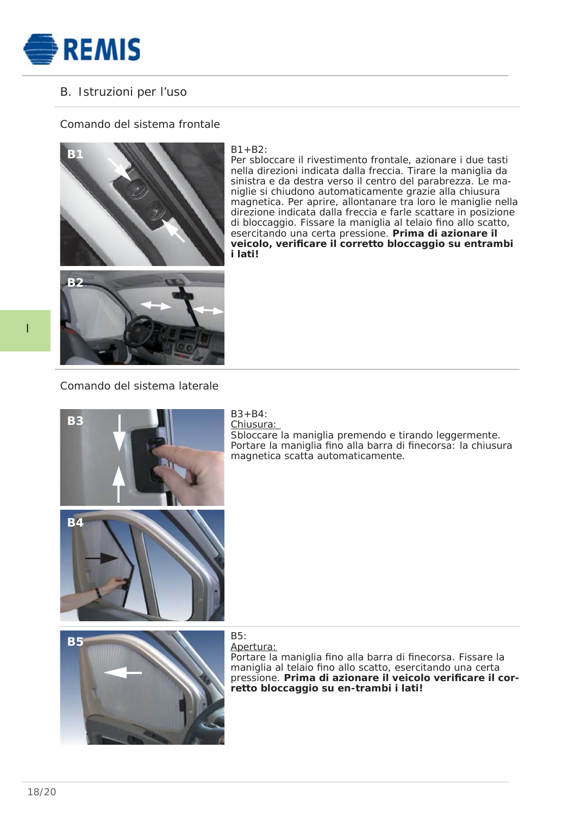

# B. Istruzioni per l'uso

# Comando del sistema frontale



#### $B1 + B2$

Per sbloccare il rivestimento frontale, azionare i due tasti nella direzioni indicata dalla freccia. Tirare la maniglia da sinistra e da destra verso il centro del parabrezza. Le maniglie si chiudono automaticamente grazie alla chiusura magnetica. Per aprire, allontanare tra loro le maniglie nella direzione indicata dalla freccia e farle scattare in posizione di bloccaggio. Fissare la maniglia al telaio fino allo scatto. esercitando una certa pressione. **Prima di azionare il**  veicolo, verificare il corretto bloccaggio su entrambi **i lati!**



I

# Comando del sistema laterale



#### $B3 + B4$ Chiusura:

Sbloccare la maniglia premendo e tirando leggermente. Portare la maniglia fino alla barra di finecorsa: la chiusura magnetica scatta automaticamente.



# Apertura:

Portare la maniglia fino alla barra di finecorsa. Fissare la maniglia al telaio fino allo scatto, esercitando una certa pressione. Prima di azionare il veicolo verificare il cor**retto bloccaggio su en-trambi i lati!**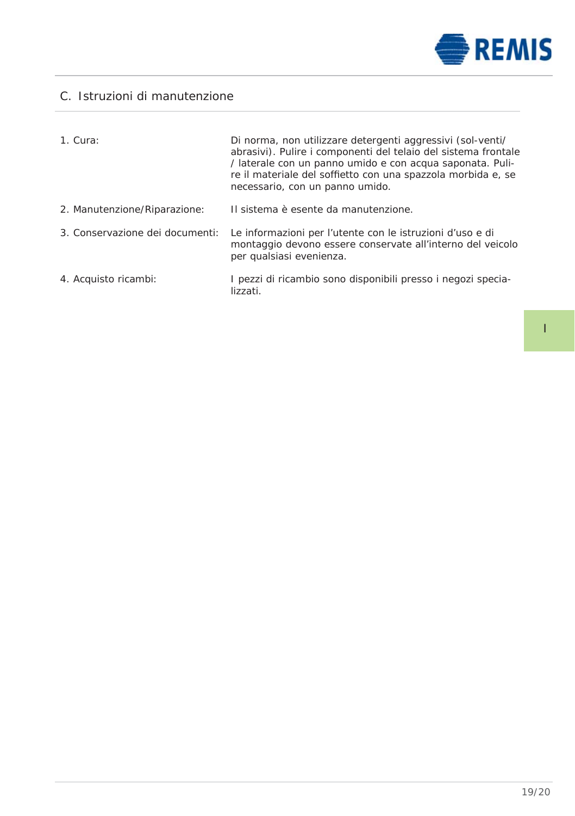

# C. Istruzioni di manutenzione

| 1. Cura:                        | Di norma, non utilizzare detergenti aggressivi (sol-venti/<br>abrasivi). Pulire i componenti del telaio del sistema frontale<br>/ laterale con un panno umido e con acqua saponata. Puli-<br>re il materiale del soffietto con una spazzola morbida e, se<br>necessario, con un panno umido. |
|---------------------------------|----------------------------------------------------------------------------------------------------------------------------------------------------------------------------------------------------------------------------------------------------------------------------------------------|
| 2. Manutenzione/Riparazione:    | Il sistema è esente da manutenzione.                                                                                                                                                                                                                                                         |
| 3. Conservazione dei documenti: | Le informazioni per l'utente con le istruzioni d'uso e di<br>montaggio devono essere conservate all'interno del veicolo<br>per qualsiasi evenienza.                                                                                                                                          |
| 4. Acquisto ricambi:            | I pezzi di ricambio sono disponibili presso i negozi specia-<br>lizzati.                                                                                                                                                                                                                     |